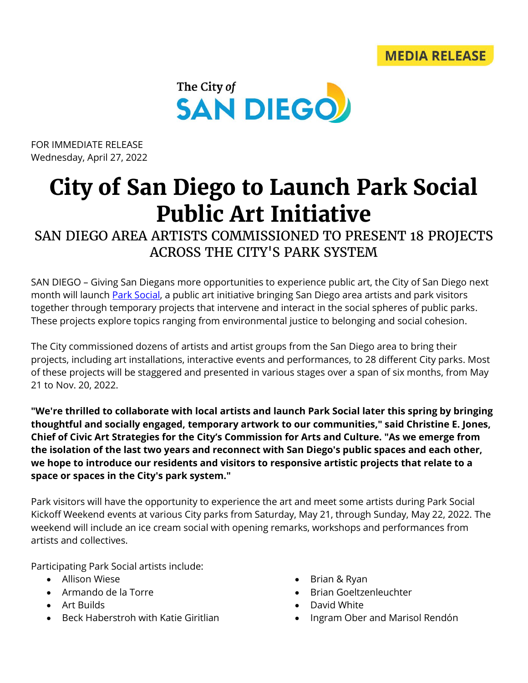



FOR IMMEDIATE RELEASE Wednesday, April 27, 2022

## **City of San Diego to Launch Park Social Public Art Initiative**

SAN DIEGO AREA ARTISTS COMMISSIONED TO PRESENT 18 PROJECTS ACROSS THE CITY'S PARK SYSTEM

SAN DIEGO – Giving San Diegans more opportunities to experience public art, the City of San Diego next month will launch **Park Social**, a public art initiative bringing San Diego area artists and park visitors together through temporary projects that intervene and interact in the social spheres of public parks. These projects explore topics ranging from environmental justice to belonging and social cohesion.

The City commissioned dozens of artists and artist groups from the San Diego area to bring their projects, including art installations, interactive events and performances, to 28 different City parks. Most of these projects will be staggered and presented in various stages over a span of six months, from May 21 to Nov. 20, 2022.

**"We're thrilled to collaborate with local artists and launch Park Social later this spring by bringing thoughtful and socially engaged, temporary artwork to our communities," said Christine E. Jones, Chief of Civic Art Strategies for the City's Commission for Arts and Culture. "As we emerge from the isolation of the last two years and reconnect with San Diego's public spaces and each other, we hope to introduce our residents and visitors to responsive artistic projects that relate to a space or spaces in the City's park system."**

Park visitors will have the opportunity to experience the art and meet some artists during Park Social Kickoff Weekend events at various City parks from Saturday, May 21, through Sunday, May 22, 2022. The weekend will include an ice cream social with opening remarks, workshops and performances from artists and collectives.

Participating Park Social artists include:

- Allison Wiese
- Armando de la Torre
- Art Builds
- Beck Haberstroh with Katie Giritlian
- Brian & Ryan
- Brian Goeltzenleuchter
- David White
- Ingram Ober and Marisol Rendón